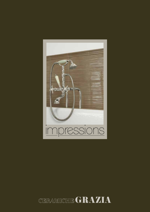

## CERAMICHE GRAZIA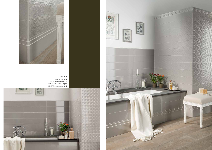

14X56 Rock 14x56 Bloom Rock 7,5x56 Finale Rock+ Angolo 20x56 Zoccolo Rock+Angolo 1,2x27,9 Coprispigolo Rock







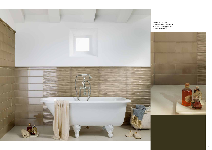

14x56 Bamboo Cappuccino 5,5x27,9 Toro Cappuccino 30x30 Retrò2 Moon

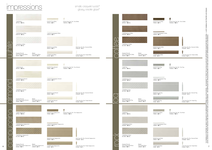| 5,5x27,9 Toro Coffee<br>TIM400 - 58 PZ         | 5,5x2,5 Ang. Est. Par. Toro Coffee<br>TAIM400 - 105 PZ |                                                       |
|------------------------------------------------|--------------------------------------------------------|-------------------------------------------------------|
|                                                |                                                        |                                                       |
|                                                |                                                        |                                                       |
| 1,2x27,9 Coprispigolo Coffee<br>CIM400 - 56 PZ |                                                        |                                                       |
|                                                |                                                        |                                                       |
|                                                |                                                        |                                                       |
| 20x56 Zoccolo Coffee<br>ZIM400 - 46 PZ         |                                                        | 20x2 Ang. Est. Par. Zoccolo Coffee<br>ZAIM400 - 14 PZ |
|                                                |                                                        |                                                       |
| 7,5x56 Finale Coffee<br>FII400 - 74 PZ         |                                                        | 7,5x2 Ang. Est. Par. Finale Coffee<br>FIIA400 - 14 PZ |
|                                                |                                                        |                                                       |
| 5,5x27,9 Toro Fog                              | 5,5x2,5 Ang. Est. Par. Toro Fog                        |                                                       |
| TIM500 - 58 PZ                                 | TAIM500 - 105 PZ                                       |                                                       |
|                                                |                                                        |                                                       |
| 1,2x27,9 Coprispigolo Fog<br>CIM500 - 56 PZ    |                                                        |                                                       |
|                                                |                                                        |                                                       |
|                                                |                                                        |                                                       |
| 20x56 Zoccolo Fog                              |                                                        | 20x2 Ang. Est. Par. Zoccolo Fog                       |
| ZIM500 - 46 PZ                                 |                                                        | ZAIM500 - 14 PZ                                       |
| 7,5x56 Finale Fog<br>FII500 - 74 PZ            |                                                        | 7,5x2 Ang. Est. Par. Finale Fog<br>FIIA500 - 14 PZ    |
|                                                |                                                        |                                                       |
|                                                |                                                        |                                                       |
| 5,5x27,9 Toro Rock<br>TIM600 - 58 PZ           | 5,5x2,5 Ang. Est. Par. Toro Rock<br>TAIM600 - 105 PZ   |                                                       |
|                                                |                                                        |                                                       |
|                                                |                                                        |                                                       |
| 1,2x27,9 Coprispigolo Rock<br>CIM600 - 56 PZ   |                                                        |                                                       |
|                                                |                                                        |                                                       |
|                                                |                                                        |                                                       |
| 20x56 Zoccolo Rock<br>ZIM600 - 46 PZ           |                                                        | 20x2 Ang. Est. Par. Zoccolo Rock<br>ZAIM600 - 14 PZ   |
|                                                |                                                        |                                                       |
| 7,5x56 Finale Rock<br>FII600 - 74 PZ           |                                                        | 7,5x2 Ang. Est. Par. Finale Rock<br>FIIA600 - 14 PZ   |

## impressions

| 14x56 White<br>IMP100 - 103 MQ.                                                                                                                      | 5,5x27,9 Toro White<br>5,5x2,5 Ang. Est. Par. Toro White<br>TIM100 - 58 PZ<br>TAIM100 - 105 PZ                                                                                                 | 14x56 Coffee<br>IMP400 - 103 MQ.                                                                                                                        | ÷,<br>5,5x27,9 Toro Coffee<br>5,5x2,5 Ang. Est. Par. Toro Coffee<br>TIM400 - 58 PZ<br>TAIM400 - 105 PZ               | ш                                                                                                                                                                                                                                                                                                 |
|------------------------------------------------------------------------------------------------------------------------------------------------------|------------------------------------------------------------------------------------------------------------------------------------------------------------------------------------------------|---------------------------------------------------------------------------------------------------------------------------------------------------------|----------------------------------------------------------------------------------------------------------------------|---------------------------------------------------------------------------------------------------------------------------------------------------------------------------------------------------------------------------------------------------------------------------------------------------|
| 14x56 Bamboo White<br>BAM100 - 95 MQ.<br><b>AVIOR PT</b>                                                                                             | 1,2x27,9 Coprispigolo White<br>CIM100 - 56 PZ                                                                                                                                                  | 14x56 Bamboo Coffee<br>BAM400 - 95 MQ.                                                                                                                  | 1,2x27,9 Coprispigolo Coffee<br>CIM400 - 56 PZ                                                                       | ĝ<br>⊒.                                                                                                                                                                                                                                                                                           |
| 14x56 Bloom White<br>BLO100 - 95 MQ.<br>(Quarter Round)<br>(Beak)<br>3x27,9 Sguscietta White<br>3x3 Unghia White<br>SIM100 - 56 PZ<br>UIM100 - 24 PZ | 20x2 Ang. Est. Par. Zoccolo White<br>20x56 Zoccolo White<br>ZAIM100 - 14 PZ<br>ZIM100 - 46 PZ<br>7,5x56 Finale White<br>7,5x2 Ang. Est. Par. Finale White<br>FII100 - 74 PZ<br>FIIA100 - 14 PZ | 14x56 Bloom Coffee<br>BLO400 - 95 MQ.<br>(Quarter Round)<br>(Beak)<br>3x27,9 Sguscietta Coffee<br>3x3 Unghia Coffee<br>SIM400 - 56 PZ<br>UIM400 - 24 PZ | 20x56 Zoccolo Coffee<br>ZIM400 - 46 PZ<br>7,5x56 Finale Coffee<br>FII400 - 74 PZ                                     | CATURA. - WE SUGGEST TO TREAT THE CLACKLE GLAZE WITH APPROPRIATE SEALER BEFORE GROUTING.<br>WIR EMPFEHLEN DIE CRAQUELEGRASUREN VOR DEM AUSFUGEN MIT IMPREGNIERUNG ZU BEHANDELN.<br>20x2 Ang. Est. Par. Zoccolo Coffee<br>ZAIM400 - 14 PZ<br>7,5x2 Ang. Est. Par. Finale Coffee<br>FIIA400 - 14 PZ |
| 14x56 Almond<br>IMP200 - 103 MQ.                                                                                                                     | 5,5x27,9 Toro Almond<br>5,5x2,5 Ang. Est. Par. Toro Almond<br>TIM200 - 58 PZ<br>TAIM200 - 105 PZ                                                                                               | 14x56 Fog<br>IMP500 - 103 MQ.                                                                                                                           | ٠<br>5,5x27,9 Toro Fog<br>5,5x2,5 Ang. Est. Par. Toro Fog<br>TIM500 - 58 PZ<br>TAIM500 - 105 PZ                      |                                                                                                                                                                                                                                                                                                   |
| 14x56 Bamboo Almond<br>BAM200 - 95 MQ.                                                                                                               | 1,2x27,9 Coprispigolo Almond<br>CIM200 - 56 PZ                                                                                                                                                 | 14x56 Bamboo Fog<br>BAM500 - 95 MQ.                                                                                                                     | the control of the control of the control of<br>1,2x27,9 Coprispigolo Fog<br>CIM500 - 56 PZ                          |                                                                                                                                                                                                                                                                                                   |
| 14x56 Bloom Almond<br>BLO200 - 95 MQ.                                                                                                                | 20x56 Zoccolo Almond<br>20x2 Ang. Est. Par. Zoccolo Almond<br>ZAIM200 - 14 PZ<br>ZIM200 - 46 PZ                                                                                                | 14x56 Bloom Fog<br>BLO500 - 95 MQ.<br>(Beak)                                                                                                            | 20x56 Zoccolo Fog<br>ZIM500 - 46 PZ                                                                                  | 20x2 Ang. Est. Par. Zoccolo Fog<br>ZAIM500 - 14 PZ                                                                                                                                                                                                                                                |
| (Quarter Round)<br>(Beak)<br>3x3 Unghia Almond<br>3x27,9 Sguscietta Almond<br>SIM200 - 56 PZ<br>UIM200 - 24 PZ                                       | 7,5x56 Finale Almond<br>7,5x2 Ang. Est. Par. Finale Almond<br>FII200 - 74 PZ<br>FIIA200 - 14 PZ                                                                                                | (Quarter Round)<br>3x27,9 Sguscietta Fog<br>3x3 Unghia Fog<br>SIM500 - 56 PZ<br>UIM500 - 24 PZ                                                          | 7,5x56 Finale Fog<br>FII500 - <b>74</b> PZ                                                                           | 7,5x2 Ang. Est. Par. Finale Fog<br>FIIA500 - 14 PZ                                                                                                                                                                                                                                                |
| 14x56 Cappuccino<br>IMP300 - 103 MQ.                                                                                                                 | 5,5x27,9 Toro Cappuccino<br>TIM300 - 58 PZ<br>5,5x2,5 Ang. Est. Par. Toro Cappuccino<br>TAIM300 - 105 PZ                                                                                       | 14x56 Rock<br>IMP600 - 103 MQ.                                                                                                                          | $\rightarrow$<br>5,5x2,5 Ang. Est. Par. Toro Rock<br>5,5x27,9 Toro Rock<br>TIM600 - <b>58</b> PZ<br>TAIM600 - 105 PZ | * SI CONSIGLIA DI TRATTARE GLI SWALTI CRAQUELÈ CON IMPREGNANTE PRIMA DELLA STUC<br>LES AU MOYEN D'UN PRODUIT BOUCHE-PORE AVANT D'EFFECTUER LE REJOINTOIEMENT. -                                                                                                                                   |
| 14x56 Bamboo Cappuccino<br>BAM300 - 95 MQ.                                                                                                           | the contract of the contract of the contract of the contract of<br>1,2x27,9 Coprispigolo Cappuccino<br>CIM300 - 56 PZ                                                                          | 14x56 Bamboo Rock<br>BAM600 - 95 MQ.                                                                                                                    | __________<br>1,2x27,9 Coprispigolo Rock<br>CIM600 - 56 PZ                                                           |                                                                                                                                                                                                                                                                                                   |
| 14x56 Bloom Cappuccino<br>BLO300 - 95 MQ.                                                                                                            | 20x56 Zoccolo Cappuccino<br>20x2 Ang. Est. Par. Zoccolo Cappuccino<br>ZIM300 - 46 PZ<br>ZAIM300 - 14 PZ                                                                                        | 14x56 Bloom Rock<br>BLO600 - 95 MQ.                                                                                                                     | 20x56 Zoccolo Rock<br>ZIM600 - 46 PZ                                                                                 | 20x2 Ang. Est. Par. Zoccolo Rock<br>ZAIM600 - 14 PZ                                                                                                                                                                                                                                               |
| (Quarter Round)<br>(Beak)<br>3x27,9 Sguscietta Cappuccino<br>3x3 Unghia Cappuccino<br>SIM300 - 56 PZ<br>UIM300 - 24 PZ                               | 7,5x56 Finale Cappuccino<br>7,5x2 Ang. Est. Par. Finale Cappuccino<br>FII300 - 74 PZ<br>FIIA300 - 14 PZ                                                                                        | (Quarter Round)<br>(Beak)<br>3x27,9 Sguscietta Rock<br>3x3 Unghia Rock<br>SIM600 - 56 PZ<br>UIM600 - 24 PZ                                              | 7,5x56 Finale Rock<br>FII600 - 74 PZ                                                                                 | 7,5x2 Ang. Est. Par. Finale Rock<br>FIIA600 - 14 PZ                                                                                                                                                                                                                                               |

## smalto craquelé lucido\* glossy crackle glaze\*